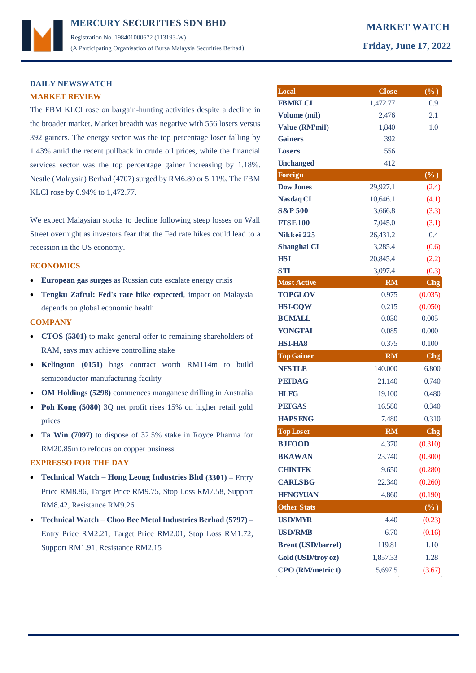# **DAILY NEWSWATCH MARKET REVIEW**

The FBM KLCI rose on bargain-hunting activities despite a decline in the broader market. Market breadth was negative with 556 losers versus 392 gainers. The energy sector was the top percentage loser falling by 1.43% amid the recent pullback in crude oil prices, while the financial services sector was the top percentage gainer increasing by 1.18%. Nestle (Malaysia) Berhad (4707) surged by RM6.80 or 5.11%. The FBM KLCI rose by 0.94% to 1,472.77.

We expect Malaysian stocks to decline following steep losses on Wall Street overnight as investors fear that the Fed rate hikes could lead to a recession in the US economy.

## **ECONOMICS**

- **European gas surges** as Russian cuts escalate energy crisis
- **Tengku Zafrul: Fed's rate hike expected**, impact on Malaysia depends on global economic health

### **COMPANY**

- **CTOS (5301)** to make general offer to remaining shareholders of RAM, says may achieve controlling stake
- **Kelington (0151)** bags contract worth RM114m to build semiconductor manufacturing facility
- **OM Holdings (5298)** commences manganese drilling in Australia
- **Poh Kong (5080)** 3Q net profit rises 15% on higher retail gold prices
- **Ta Win (7097)** to dispose of 32.5% stake in Royce Pharma for RM20.85m to refocus on copper business

## **EXPRESSO FOR THE DAY**

- **Technical Watch Hong Leong Industries Bhd (3301) –** Entry Price RM8.86, Target Price RM9.75, Stop Loss RM7.58, Support RM8.42, Resistance RM9.26
- **Technical Watch Choo Bee Metal Industries Berhad (5797) –** Entry Price RM2.21, Target Price RM2.01, Stop Loss RM1.72, Support RM1.91, Resistance RM2.15

| Local                     | <b>Close</b> | $(\%)$          |
|---------------------------|--------------|-----------------|
| <b>FBMKLCI</b>            | 1,472.77     | 0.9             |
| Volume (mil)              | 2,476        | 2.1             |
| Value (RM'mil)            | 1,840        | 1.0             |
| <b>Gainers</b>            | 392          |                 |
| <b>Losers</b>             | 556          |                 |
| <b>Unchanged</b>          | 412          |                 |
| <b>Foreign</b>            |              | $(\%)$          |
| <b>Dow Jones</b>          | 29,927.1     | (2.4)           |
| <b>Nasdaq CI</b>          | 10,646.1     | (4.1)           |
| <b>S&amp;P 500</b>        | 3,666.8      | (3.3)           |
| <b>FTSE100</b>            | 7,045.0      | (3.1)           |
| Nikkei 225                | 26,431.2     | 0.4             |
| Shanghai CI               | 3,285.4      | (0.6)           |
| <b>HSI</b>                | 20,845.4     | (2.2)           |
| <b>STI</b>                | 3,097.4      | (0.3)           |
| <b>Most Active</b>        | <b>RM</b>    | <b>Chg</b>      |
| <b>TOPGLOV</b>            | 0.975        | (0.035)         |
| <b>HSI-COW</b>            | 0.215        | (0.050)         |
| <b>BCMALL</b>             | 0.030        | 0.005           |
| <b>YONGTAI</b>            | 0.085        | 0.000           |
| <b>HSI-HA8</b>            | 0.375        | 0.100           |
| <b>Top Gainer</b>         | <b>RM</b>    | C <sub>ng</sub> |
| <b>NESTLE</b>             | 140.000      | 6.800           |
| <b>PETDAG</b>             | 21.140       | 0.740           |
| <b>HLFG</b>               | 19.100       | 0.480           |
| <b>PETGAS</b>             | 16.580       | 0.340           |
| <b>HAPSENG</b>            | 7.480        | 0.310           |
| <b>Top Loser</b>          | <b>RM</b>    | Chg             |
| <b>BJFOOD</b>             | 4.370        | (0.310)         |
| <b>BKAWAN</b>             | 23.740       | (0.300)         |
| <b>CHINTEK</b>            | 9.650        | (0.280)         |
| <b>CARLSBG</b>            | 22.340       | (0.260)         |
| <b>HENGYUAN</b>           | 4.860        | (0.190)         |
| <b>Other Stats</b>        |              | $(\%)$          |
| <b>USD/MYR</b>            | 4.40         | (0.23)          |
| <b>USD/RMB</b>            | 6.70         | (0.16)          |
| <b>Brent (USD/barrel)</b> | 119.81       | 1.10            |
| Gold (USD/troy oz)        | 1,857.33     | 1.28            |
| <b>CPO</b> (RM/metric t)  | 5,697.5      | (3.67)          |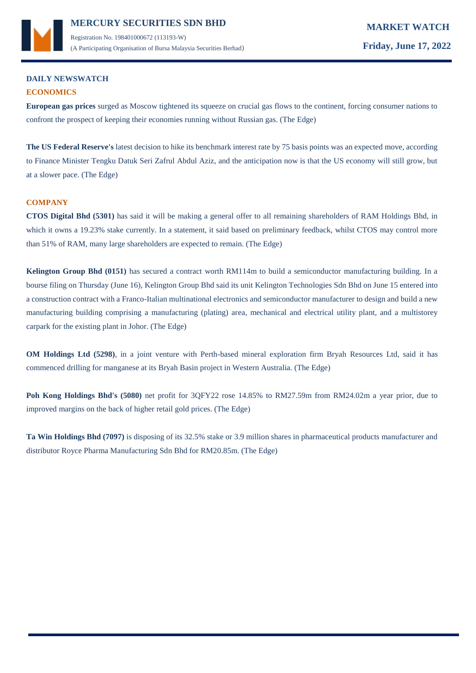

(A Participating Organisation of Bursa Malaysia Securities Berhad) **Friday, June 17, 2022**

# **DAILY NEWSWATCH ECONOMICS**

**European gas prices** surged as Moscow tightened its squeeze on crucial gas flows to the continent, forcing consumer nations to confront the prospect of keeping their economies running without Russian gas. (The Edge)

**The US Federal Reserve's** latest decision to hike its benchmark interest rate by 75 basis points was an expected move, according to Finance Minister Tengku Datuk Seri Zafrul Abdul Aziz, and the anticipation now is that the US economy will still grow, but at a slower pace. (The Edge)

# **COMPANY**

**CTOS Digital Bhd (5301)** has said it will be making a general offer to all remaining shareholders of RAM Holdings Bhd, in which it owns a 19.23% stake currently. In a statement, it said based on preliminary feedback, whilst CTOS may control more than 51% of RAM, many large shareholders are expected to remain. (The Edge)

**Kelington Group Bhd (0151)** has secured a contract worth RM114m to build a semiconductor manufacturing building. In a bourse filing on Thursday (June 16), Kelington Group Bhd said its unit Kelington Technologies Sdn Bhd on June 15 entered into a construction contract with a Franco-Italian multinational electronics and semiconductor manufacturer to design and build a new manufacturing building comprising a manufacturing (plating) area, mechanical and electrical utility plant, and a multistorey carpark for the existing plant in Johor. (The Edge)

**OM Holdings Ltd (5298)**, in a joint venture with Perth-based mineral exploration firm Bryah Resources Ltd, said it has commenced drilling for manganese at its Bryah Basin project in Western Australia. (The Edge)

**Poh Kong Holdings Bhd's (5080)** net profit for 3QFY22 rose 14.85% to RM27.59m from RM24.02m a year prior, due to improved margins on the back of higher retail gold prices. (The Edge)

**Ta Win Holdings Bhd (7097)** is disposing of its 32.5% stake or 3.9 million shares in pharmaceutical products manufacturer and distributor Royce Pharma Manufacturing Sdn Bhd for RM20.85m. (The Edge)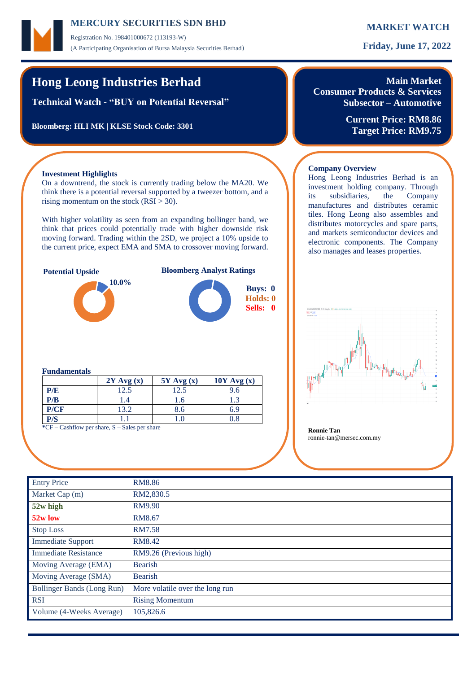# **MERCURY MARKET WATCH SECURITIES SDN BHD**

Registration No. 198401000672 (113193-W) (A Participating Organisation of Bursa Malaysia Securities Berhad) **Friday, June 17, 2022**

# **Hong Leong Industries Berhad**

**Technical Watch - "BUY on Potential Reversal"**

**Bloomberg: HLI MK | KLSE Stock Code: 3301**

# **Main Market Consumer Products & Services**

**Subsector – Automotive**

**Current Price: RM8.86 Target Price: RM9.75**

## **Investment Highlights**

On a downtrend, the stock is currently trading below the MA20. We think there is a potential reversal supported by a tweezer bottom, and a rising momentum on the stock  $(RSI > 30)$ .

With higher volatility as seen from an expanding bollinger band, we think that prices could potentially trade with higher downside risk moving forward. Trading within the 2SD, we project a 10% upside to the current price, expect EMA and SMA to crossover moving forward.



## **Fundamentals**

|                                                             | $2Y$ Avg $(x)$ | $5Y$ Avg $(x)$ | $10Y$ Avg $(x)$ |  |  |  |  |
|-------------------------------------------------------------|----------------|----------------|-----------------|--|--|--|--|
| P/E                                                         | 12.5           | 12.5           | 9.6             |  |  |  |  |
| P/B                                                         | .4             | 1.6            |                 |  |  |  |  |
| P/CF                                                        | 13.2           | 8.6            | 6.9             |  |  |  |  |
| P/S                                                         |                | $\Omega$       | 0.8             |  |  |  |  |
| $C = \text{Coshflow}$ par share $S = \text{Cake}$ par share |                |                |                 |  |  |  |  |

**F** – Cashflow per share, S – Sales per share **Ronnie Tan** 

## **Company Overview**

Hong Leong Industries Berhad is an investment holding company. Through its subsidiaries, the Company manufactures and distributes ceramic tiles. Hong Leong also assembles and distributes motorcycles and spare parts, and markets semiconductor devices and electronic components. The Company also manages and leases properties.



ronnie-tan@mersec.com.my

| <b>Entry Price</b>                | <b>RM8.86</b>                   |
|-----------------------------------|---------------------------------|
| Market Cap (m)                    | RM2,830.5                       |
| 52w high                          | RM9.90                          |
| 52w low                           | RM8.67                          |
| <b>Stop Loss</b>                  | <b>RM7.58</b>                   |
| <b>Immediate Support</b>          | RM8.42                          |
| <b>Immediate Resistance</b>       | RM9.26 (Previous high)          |
| Moving Average (EMA)              | <b>Bearish</b>                  |
| Moving Average (SMA)              | Bearish                         |
| <b>Bollinger Bands (Long Run)</b> | More volatile over the long run |
| <b>RSI</b>                        | <b>Rising Momentum</b>          |
| Volume (4-Weeks Average)          | 105,826.6                       |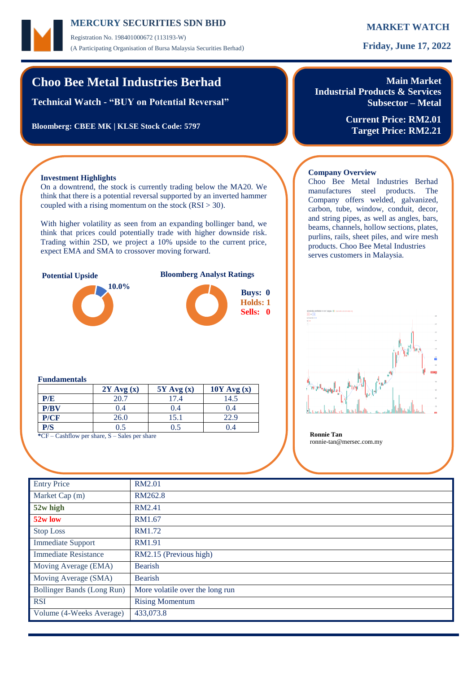# **MERCURY MARKET WATCH SECURITIES SDN BHD**

Registration No. 198401000672 (113193-W) (A Participating Organisation of Bursa Malaysia Securities Berhad) **Friday, June 17, 2022**

# **Choo Bee Metal Industries Berhad**

**Technical Watch - "BUY on Potential Reversal"**

**Bloomberg: CBEE MK | KLSE Stock Code: 5797**

# **Main Market Industrial Products & Services Subsector – Metal**

**Current Price: RM2.01 Target Price: RM2.21**

# **Investment Highlights**

On a downtrend, the stock is currently trading below the MA20. We think that there is a potential reversal supported by an inverted hammer coupled with a rising momentum on the stock  $(RSI > 30)$ .

With higher volatility as seen from an expanding bollinger band, we think that prices could potentially trade with higher downside risk. Trading within 2SD, we project a 10% upside to the current price, expect EMA and SMA to crossover moving forward.



## **Company Overview**

Choo Bee Metal Industries Berhad manufactures steel products. The Company offers welded, galvanized, carbon, tube, window, conduit, decor, and string pipes, as well as angles, bars, beams, channels, hollow sections, plates, purlins, rails, sheet piles, and wire mesh products. Choo Bee Metal Industries serves customers in Malaysia.



## **Fundamentals**

|      | $2Y$ Avg $(x)$ | $5Y$ Avg $(x)$ | $10Y$ Avg $(x)$ |
|------|----------------|----------------|-----------------|
| P/E  | 20.7           | 17.4           | 14.5            |
| P/BV | 0.4            | 0.4            | 0.4             |
| P/CF | 26.0           | 15.1           | 22.9            |
| P/S  | 0.5            | 0.5            | 0.4             |

**\***CF – Cashflow per share, S – Sales per share **Ronnie Tan**

ronnie-tan@mersec.com.my

| <b>Entry Price</b>          | <b>RM2.01</b>                   |
|-----------------------------|---------------------------------|
| Market Cap (m)              | RM262.8                         |
| 52w high                    | RM2.41                          |
| 52w low                     | RM1.67                          |
| <b>Stop Loss</b>            | RM1.72                          |
| <b>Immediate Support</b>    | <b>RM1.91</b>                   |
| <b>Immediate Resistance</b> | RM2.15 (Previous high)          |
| Moving Average (EMA)        | Bearish                         |
| Moving Average (SMA)        | Bearish                         |
| Bollinger Bands (Long Run)  | More volatile over the long run |
| <b>RSI</b>                  | <b>Rising Momentum</b>          |
| Volume (4-Weeks Average)    | 433,073.8                       |
|                             |                                 |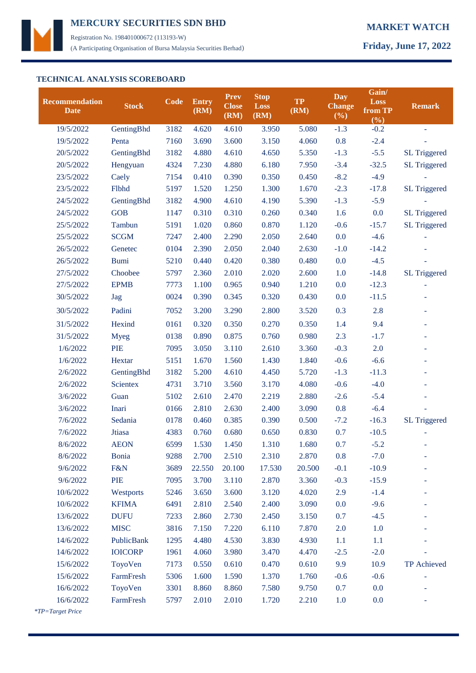

Registration No. 198401000672 (113193-W) (A Participating Organisation of Bursa Malaysia Securities Berhad) **Friday, June 17, 2022**

# **TECHNICAL ANALYSIS SCOREBOARD**

| 19/5/2022<br>GentingBhd<br>3182<br>4.620<br>4.610<br>3.950<br>5.080<br>$-1.3$<br>$-0.2$<br>0.8<br>19/5/2022<br>7160<br>3.690<br>3.600<br>3.150<br>4.060<br>$-2.4$<br>Penta<br>$-5.5$<br>20/5/2022<br>GentingBhd<br>3182<br>4.880<br>4.650<br>5.350<br>$-1.3$<br><b>SL Triggered</b><br>4.610<br>20/5/2022<br>4324<br>7.230<br>4.880<br>6.180<br>7.950<br>$-3.4$<br>$-32.5$<br><b>SL Triggered</b><br>Hengyuan<br>$-4.9$<br>23/5/2022<br>7154<br>0.410<br>0.390<br>0.350<br>0.450<br>$-8.2$<br>Caely<br>1.300<br>$-2.3$<br>23/5/2022<br>Flbhd<br>5197<br>1.520<br>1.250<br>1.670<br>$-17.8$<br><b>SL Triggered</b><br>$-5.9$<br>24/5/2022<br>3182<br>4.900<br>4.610<br>4.190<br>5.390<br>$-1.3$<br>GentingBhd<br>24/5/2022<br><b>GOB</b><br>1147<br>0.310<br>0.310<br>0.260<br>0.340<br>1.6<br>0.0<br><b>SL Triggered</b><br>5191<br>1.020<br>0.870<br>$-0.6$<br>$-15.7$<br><b>SL Triggered</b><br>25/5/2022<br>Tambun<br>0.860<br>1.120<br>0.0<br>$-4.6$<br><b>SCGM</b><br>2.400<br>2.290<br>2.050<br>2.640<br>25/5/2022<br>7247<br>26/5/2022<br>0104<br>2.390<br>2.050<br>2.040<br>2.630<br>$-1.0$<br>$-14.2$<br>Genetec<br>26/5/2022<br><b>Bumi</b><br>5210<br>0.440<br>0.420<br>0.380<br>0.480<br>0.0<br>$-4.5$<br>2.010<br>2.020<br>1.0<br>$-14.8$<br>27/5/2022<br>Choobee<br>5797<br>2.360<br>2.600<br><b>SL Triggered</b><br><b>EPMB</b><br>0.940<br>1.210<br>0.0<br>$-12.3$<br>27/5/2022<br>7773<br>1.100<br>0.965<br>0024<br>30/5/2022<br>0.390<br>0.345<br>0.320<br>0.430<br>0.0<br>$-11.5$<br>Jag<br>2.8<br>Padini<br>7052<br>3.200<br>3.290<br>2.800<br>3.520<br>0.3<br>30/5/2022<br>9.4<br>31/5/2022<br>Hexind<br>0161<br>0.320<br>0.350<br>0.270<br>0.350<br>1.4<br>0.875<br>0.760<br>0.980<br>2.3<br>$-1.7$<br>31/5/2022<br><b>Myeg</b><br>0138<br>0.890<br><b>PIE</b><br>2.0<br>7095<br>3.050<br>2.610<br>3.360<br>$-0.3$<br>1/6/2022<br>3.110<br>1.430<br>$-0.6$<br>$-6.6$<br>1/6/2022<br>Hextar<br>5151<br>1.670<br>1.560<br>1.840<br>GentingBhd<br>3182<br>4.610<br>4.450<br>5.720<br>$-1.3$<br>$-11.3$<br>2/6/2022<br>5.200<br><b>Scientex</b><br>3.170<br>$-0.6$<br>$-4.0$<br>2/6/2022<br>4731<br>3.710<br>3.560<br>4.080<br>5102<br>2.610<br>2.219<br>2.880<br>$-2.6$<br>$-5.4$<br>3/6/2022<br>Guan<br>2.470<br>Inari<br>2.400<br>0.8<br>$-6.4$<br>3/6/2022<br>0166<br>2.810<br>2.630<br>3.090<br>Sedania<br>0.390<br>$-7.2$<br>7/6/2022<br>0178<br>0.460<br>0.385<br>0.500<br>$-16.3$<br><b>SL Triggered</b><br>Jtiasa<br>0.680<br>0.650<br>0.830<br>0.7<br>$-10.5$<br>7/6/2022<br>4383<br>0.760 | Recommendation<br><b>Date</b> | <b>Stock</b> | Code | <b>Entry</b><br>(RM) | <b>Prev</b><br><b>Close</b><br>(RM) | <b>Stop</b><br><b>Loss</b><br>(RM) | <b>TP</b><br>(RM) | <b>Day</b><br><b>Change</b><br>(%) | Gain/<br><b>Loss</b><br>from TP<br>(%) | <b>Remark</b> |
|------------------------------------------------------------------------------------------------------------------------------------------------------------------------------------------------------------------------------------------------------------------------------------------------------------------------------------------------------------------------------------------------------------------------------------------------------------------------------------------------------------------------------------------------------------------------------------------------------------------------------------------------------------------------------------------------------------------------------------------------------------------------------------------------------------------------------------------------------------------------------------------------------------------------------------------------------------------------------------------------------------------------------------------------------------------------------------------------------------------------------------------------------------------------------------------------------------------------------------------------------------------------------------------------------------------------------------------------------------------------------------------------------------------------------------------------------------------------------------------------------------------------------------------------------------------------------------------------------------------------------------------------------------------------------------------------------------------------------------------------------------------------------------------------------------------------------------------------------------------------------------------------------------------------------------------------------------------------------------------------------------------------------------------------------------------------------------------------------------------------------------------------------------------------------------------------------------------------------------------------------------------------------------------------------------------------------------------------------------------------------------------------------------------------------------------------------------------------------------------------------------------------|-------------------------------|--------------|------|----------------------|-------------------------------------|------------------------------------|-------------------|------------------------------------|----------------------------------------|---------------|
|                                                                                                                                                                                                                                                                                                                                                                                                                                                                                                                                                                                                                                                                                                                                                                                                                                                                                                                                                                                                                                                                                                                                                                                                                                                                                                                                                                                                                                                                                                                                                                                                                                                                                                                                                                                                                                                                                                                                                                                                                                                                                                                                                                                                                                                                                                                                                                                                                                                                                                                        |                               |              |      |                      |                                     |                                    |                   |                                    |                                        |               |
|                                                                                                                                                                                                                                                                                                                                                                                                                                                                                                                                                                                                                                                                                                                                                                                                                                                                                                                                                                                                                                                                                                                                                                                                                                                                                                                                                                                                                                                                                                                                                                                                                                                                                                                                                                                                                                                                                                                                                                                                                                                                                                                                                                                                                                                                                                                                                                                                                                                                                                                        |                               |              |      |                      |                                     |                                    |                   |                                    |                                        |               |
|                                                                                                                                                                                                                                                                                                                                                                                                                                                                                                                                                                                                                                                                                                                                                                                                                                                                                                                                                                                                                                                                                                                                                                                                                                                                                                                                                                                                                                                                                                                                                                                                                                                                                                                                                                                                                                                                                                                                                                                                                                                                                                                                                                                                                                                                                                                                                                                                                                                                                                                        |                               |              |      |                      |                                     |                                    |                   |                                    |                                        |               |
|                                                                                                                                                                                                                                                                                                                                                                                                                                                                                                                                                                                                                                                                                                                                                                                                                                                                                                                                                                                                                                                                                                                                                                                                                                                                                                                                                                                                                                                                                                                                                                                                                                                                                                                                                                                                                                                                                                                                                                                                                                                                                                                                                                                                                                                                                                                                                                                                                                                                                                                        |                               |              |      |                      |                                     |                                    |                   |                                    |                                        |               |
|                                                                                                                                                                                                                                                                                                                                                                                                                                                                                                                                                                                                                                                                                                                                                                                                                                                                                                                                                                                                                                                                                                                                                                                                                                                                                                                                                                                                                                                                                                                                                                                                                                                                                                                                                                                                                                                                                                                                                                                                                                                                                                                                                                                                                                                                                                                                                                                                                                                                                                                        |                               |              |      |                      |                                     |                                    |                   |                                    |                                        |               |
|                                                                                                                                                                                                                                                                                                                                                                                                                                                                                                                                                                                                                                                                                                                                                                                                                                                                                                                                                                                                                                                                                                                                                                                                                                                                                                                                                                                                                                                                                                                                                                                                                                                                                                                                                                                                                                                                                                                                                                                                                                                                                                                                                                                                                                                                                                                                                                                                                                                                                                                        |                               |              |      |                      |                                     |                                    |                   |                                    |                                        |               |
|                                                                                                                                                                                                                                                                                                                                                                                                                                                                                                                                                                                                                                                                                                                                                                                                                                                                                                                                                                                                                                                                                                                                                                                                                                                                                                                                                                                                                                                                                                                                                                                                                                                                                                                                                                                                                                                                                                                                                                                                                                                                                                                                                                                                                                                                                                                                                                                                                                                                                                                        |                               |              |      |                      |                                     |                                    |                   |                                    |                                        |               |
|                                                                                                                                                                                                                                                                                                                                                                                                                                                                                                                                                                                                                                                                                                                                                                                                                                                                                                                                                                                                                                                                                                                                                                                                                                                                                                                                                                                                                                                                                                                                                                                                                                                                                                                                                                                                                                                                                                                                                                                                                                                                                                                                                                                                                                                                                                                                                                                                                                                                                                                        |                               |              |      |                      |                                     |                                    |                   |                                    |                                        |               |
|                                                                                                                                                                                                                                                                                                                                                                                                                                                                                                                                                                                                                                                                                                                                                                                                                                                                                                                                                                                                                                                                                                                                                                                                                                                                                                                                                                                                                                                                                                                                                                                                                                                                                                                                                                                                                                                                                                                                                                                                                                                                                                                                                                                                                                                                                                                                                                                                                                                                                                                        |                               |              |      |                      |                                     |                                    |                   |                                    |                                        |               |
|                                                                                                                                                                                                                                                                                                                                                                                                                                                                                                                                                                                                                                                                                                                                                                                                                                                                                                                                                                                                                                                                                                                                                                                                                                                                                                                                                                                                                                                                                                                                                                                                                                                                                                                                                                                                                                                                                                                                                                                                                                                                                                                                                                                                                                                                                                                                                                                                                                                                                                                        |                               |              |      |                      |                                     |                                    |                   |                                    |                                        |               |
|                                                                                                                                                                                                                                                                                                                                                                                                                                                                                                                                                                                                                                                                                                                                                                                                                                                                                                                                                                                                                                                                                                                                                                                                                                                                                                                                                                                                                                                                                                                                                                                                                                                                                                                                                                                                                                                                                                                                                                                                                                                                                                                                                                                                                                                                                                                                                                                                                                                                                                                        |                               |              |      |                      |                                     |                                    |                   |                                    |                                        |               |
|                                                                                                                                                                                                                                                                                                                                                                                                                                                                                                                                                                                                                                                                                                                                                                                                                                                                                                                                                                                                                                                                                                                                                                                                                                                                                                                                                                                                                                                                                                                                                                                                                                                                                                                                                                                                                                                                                                                                                                                                                                                                                                                                                                                                                                                                                                                                                                                                                                                                                                                        |                               |              |      |                      |                                     |                                    |                   |                                    |                                        |               |
|                                                                                                                                                                                                                                                                                                                                                                                                                                                                                                                                                                                                                                                                                                                                                                                                                                                                                                                                                                                                                                                                                                                                                                                                                                                                                                                                                                                                                                                                                                                                                                                                                                                                                                                                                                                                                                                                                                                                                                                                                                                                                                                                                                                                                                                                                                                                                                                                                                                                                                                        |                               |              |      |                      |                                     |                                    |                   |                                    |                                        |               |
|                                                                                                                                                                                                                                                                                                                                                                                                                                                                                                                                                                                                                                                                                                                                                                                                                                                                                                                                                                                                                                                                                                                                                                                                                                                                                                                                                                                                                                                                                                                                                                                                                                                                                                                                                                                                                                                                                                                                                                                                                                                                                                                                                                                                                                                                                                                                                                                                                                                                                                                        |                               |              |      |                      |                                     |                                    |                   |                                    |                                        |               |
|                                                                                                                                                                                                                                                                                                                                                                                                                                                                                                                                                                                                                                                                                                                                                                                                                                                                                                                                                                                                                                                                                                                                                                                                                                                                                                                                                                                                                                                                                                                                                                                                                                                                                                                                                                                                                                                                                                                                                                                                                                                                                                                                                                                                                                                                                                                                                                                                                                                                                                                        |                               |              |      |                      |                                     |                                    |                   |                                    |                                        |               |
|                                                                                                                                                                                                                                                                                                                                                                                                                                                                                                                                                                                                                                                                                                                                                                                                                                                                                                                                                                                                                                                                                                                                                                                                                                                                                                                                                                                                                                                                                                                                                                                                                                                                                                                                                                                                                                                                                                                                                                                                                                                                                                                                                                                                                                                                                                                                                                                                                                                                                                                        |                               |              |      |                      |                                     |                                    |                   |                                    |                                        |               |
|                                                                                                                                                                                                                                                                                                                                                                                                                                                                                                                                                                                                                                                                                                                                                                                                                                                                                                                                                                                                                                                                                                                                                                                                                                                                                                                                                                                                                                                                                                                                                                                                                                                                                                                                                                                                                                                                                                                                                                                                                                                                                                                                                                                                                                                                                                                                                                                                                                                                                                                        |                               |              |      |                      |                                     |                                    |                   |                                    |                                        |               |
|                                                                                                                                                                                                                                                                                                                                                                                                                                                                                                                                                                                                                                                                                                                                                                                                                                                                                                                                                                                                                                                                                                                                                                                                                                                                                                                                                                                                                                                                                                                                                                                                                                                                                                                                                                                                                                                                                                                                                                                                                                                                                                                                                                                                                                                                                                                                                                                                                                                                                                                        |                               |              |      |                      |                                     |                                    |                   |                                    |                                        |               |
|                                                                                                                                                                                                                                                                                                                                                                                                                                                                                                                                                                                                                                                                                                                                                                                                                                                                                                                                                                                                                                                                                                                                                                                                                                                                                                                                                                                                                                                                                                                                                                                                                                                                                                                                                                                                                                                                                                                                                                                                                                                                                                                                                                                                                                                                                                                                                                                                                                                                                                                        |                               |              |      |                      |                                     |                                    |                   |                                    |                                        |               |
|                                                                                                                                                                                                                                                                                                                                                                                                                                                                                                                                                                                                                                                                                                                                                                                                                                                                                                                                                                                                                                                                                                                                                                                                                                                                                                                                                                                                                                                                                                                                                                                                                                                                                                                                                                                                                                                                                                                                                                                                                                                                                                                                                                                                                                                                                                                                                                                                                                                                                                                        |                               |              |      |                      |                                     |                                    |                   |                                    |                                        |               |
|                                                                                                                                                                                                                                                                                                                                                                                                                                                                                                                                                                                                                                                                                                                                                                                                                                                                                                                                                                                                                                                                                                                                                                                                                                                                                                                                                                                                                                                                                                                                                                                                                                                                                                                                                                                                                                                                                                                                                                                                                                                                                                                                                                                                                                                                                                                                                                                                                                                                                                                        |                               |              |      |                      |                                     |                                    |                   |                                    |                                        |               |
|                                                                                                                                                                                                                                                                                                                                                                                                                                                                                                                                                                                                                                                                                                                                                                                                                                                                                                                                                                                                                                                                                                                                                                                                                                                                                                                                                                                                                                                                                                                                                                                                                                                                                                                                                                                                                                                                                                                                                                                                                                                                                                                                                                                                                                                                                                                                                                                                                                                                                                                        |                               |              |      |                      |                                     |                                    |                   |                                    |                                        |               |
|                                                                                                                                                                                                                                                                                                                                                                                                                                                                                                                                                                                                                                                                                                                                                                                                                                                                                                                                                                                                                                                                                                                                                                                                                                                                                                                                                                                                                                                                                                                                                                                                                                                                                                                                                                                                                                                                                                                                                                                                                                                                                                                                                                                                                                                                                                                                                                                                                                                                                                                        |                               |              |      |                      |                                     |                                    |                   |                                    |                                        |               |
|                                                                                                                                                                                                                                                                                                                                                                                                                                                                                                                                                                                                                                                                                                                                                                                                                                                                                                                                                                                                                                                                                                                                                                                                                                                                                                                                                                                                                                                                                                                                                                                                                                                                                                                                                                                                                                                                                                                                                                                                                                                                                                                                                                                                                                                                                                                                                                                                                                                                                                                        |                               |              |      |                      |                                     |                                    |                   |                                    |                                        |               |
|                                                                                                                                                                                                                                                                                                                                                                                                                                                                                                                                                                                                                                                                                                                                                                                                                                                                                                                                                                                                                                                                                                                                                                                                                                                                                                                                                                                                                                                                                                                                                                                                                                                                                                                                                                                                                                                                                                                                                                                                                                                                                                                                                                                                                                                                                                                                                                                                                                                                                                                        |                               |              |      |                      |                                     |                                    |                   |                                    |                                        |               |
|                                                                                                                                                                                                                                                                                                                                                                                                                                                                                                                                                                                                                                                                                                                                                                                                                                                                                                                                                                                                                                                                                                                                                                                                                                                                                                                                                                                                                                                                                                                                                                                                                                                                                                                                                                                                                                                                                                                                                                                                                                                                                                                                                                                                                                                                                                                                                                                                                                                                                                                        |                               |              |      |                      |                                     |                                    |                   |                                    |                                        |               |
| 8/6/2022<br><b>AEON</b><br>6599<br>1.530<br>1.450<br>1.310<br>1.680<br>0.7<br>$-5.2$                                                                                                                                                                                                                                                                                                                                                                                                                                                                                                                                                                                                                                                                                                                                                                                                                                                                                                                                                                                                                                                                                                                                                                                                                                                                                                                                                                                                                                                                                                                                                                                                                                                                                                                                                                                                                                                                                                                                                                                                                                                                                                                                                                                                                                                                                                                                                                                                                                   |                               |              |      |                      |                                     |                                    |                   |                                    |                                        |               |
| 8/6/2022<br><b>Bonia</b><br>9288<br>2.700<br>2.510<br>2.310<br>2.870<br>0.8<br>$-7.0$                                                                                                                                                                                                                                                                                                                                                                                                                                                                                                                                                                                                                                                                                                                                                                                                                                                                                                                                                                                                                                                                                                                                                                                                                                                                                                                                                                                                                                                                                                                                                                                                                                                                                                                                                                                                                                                                                                                                                                                                                                                                                                                                                                                                                                                                                                                                                                                                                                  |                               |              |      |                      |                                     |                                    |                   |                                    |                                        |               |
| 9/6/2022<br>F&N<br>3689<br>$-0.1$<br>$-10.9$<br>22.550<br>20.100<br>17.530<br>20.500                                                                                                                                                                                                                                                                                                                                                                                                                                                                                                                                                                                                                                                                                                                                                                                                                                                                                                                                                                                                                                                                                                                                                                                                                                                                                                                                                                                                                                                                                                                                                                                                                                                                                                                                                                                                                                                                                                                                                                                                                                                                                                                                                                                                                                                                                                                                                                                                                                   |                               |              |      |                      |                                     |                                    |                   |                                    |                                        |               |
| PIE<br>7095<br>3.700<br>2.870<br>3.360<br>$-0.3$<br>9/6/2022<br>3.110<br>$-15.9$                                                                                                                                                                                                                                                                                                                                                                                                                                                                                                                                                                                                                                                                                                                                                                                                                                                                                                                                                                                                                                                                                                                                                                                                                                                                                                                                                                                                                                                                                                                                                                                                                                                                                                                                                                                                                                                                                                                                                                                                                                                                                                                                                                                                                                                                                                                                                                                                                                       |                               |              |      |                      |                                     |                                    |                   |                                    |                                        |               |
| 10/6/2022<br>Westports<br>3.600<br>3.120<br>4.020<br>2.9<br>$-1.4$<br>5246<br>3.650                                                                                                                                                                                                                                                                                                                                                                                                                                                                                                                                                                                                                                                                                                                                                                                                                                                                                                                                                                                                                                                                                                                                                                                                                                                                                                                                                                                                                                                                                                                                                                                                                                                                                                                                                                                                                                                                                                                                                                                                                                                                                                                                                                                                                                                                                                                                                                                                                                    |                               |              |      |                      |                                     |                                    |                   |                                    |                                        |               |
| <b>KFIMA</b><br>6491<br>2.400<br>$-9.6$<br>10/6/2022<br>2.810<br>2.540<br>3.090<br>0.0                                                                                                                                                                                                                                                                                                                                                                                                                                                                                                                                                                                                                                                                                                                                                                                                                                                                                                                                                                                                                                                                                                                                                                                                                                                                                                                                                                                                                                                                                                                                                                                                                                                                                                                                                                                                                                                                                                                                                                                                                                                                                                                                                                                                                                                                                                                                                                                                                                 |                               |              |      |                      |                                     |                                    |                   |                                    |                                        |               |
| 13/6/2022<br><b>DUFU</b><br>2.450<br>0.7<br>7233<br>2.860<br>2.730<br>3.150<br>$-4.5$                                                                                                                                                                                                                                                                                                                                                                                                                                                                                                                                                                                                                                                                                                                                                                                                                                                                                                                                                                                                                                                                                                                                                                                                                                                                                                                                                                                                                                                                                                                                                                                                                                                                                                                                                                                                                                                                                                                                                                                                                                                                                                                                                                                                                                                                                                                                                                                                                                  |                               |              |      |                      |                                     |                                    |                   |                                    |                                        |               |
| 13/6/2022<br><b>MISC</b><br>3816<br>7.150<br>7.220<br>6.110<br>7.870<br>2.0<br>1.0                                                                                                                                                                                                                                                                                                                                                                                                                                                                                                                                                                                                                                                                                                                                                                                                                                                                                                                                                                                                                                                                                                                                                                                                                                                                                                                                                                                                                                                                                                                                                                                                                                                                                                                                                                                                                                                                                                                                                                                                                                                                                                                                                                                                                                                                                                                                                                                                                                     |                               |              |      |                      |                                     |                                    |                   |                                    |                                        |               |
| 14/6/2022<br>PublicBank<br>3.830<br>1.1<br>1295<br>4.480<br>4.530<br>4.930<br>1.1                                                                                                                                                                                                                                                                                                                                                                                                                                                                                                                                                                                                                                                                                                                                                                                                                                                                                                                                                                                                                                                                                                                                                                                                                                                                                                                                                                                                                                                                                                                                                                                                                                                                                                                                                                                                                                                                                                                                                                                                                                                                                                                                                                                                                                                                                                                                                                                                                                      |                               |              |      |                      |                                     |                                    |                   |                                    |                                        |               |
| <b>IOICORP</b><br>3.470<br>$-2.5$<br>$-2.0$<br>14/6/2022<br>1961<br>4.060<br>3.980<br>4.470                                                                                                                                                                                                                                                                                                                                                                                                                                                                                                                                                                                                                                                                                                                                                                                                                                                                                                                                                                                                                                                                                                                                                                                                                                                                                                                                                                                                                                                                                                                                                                                                                                                                                                                                                                                                                                                                                                                                                                                                                                                                                                                                                                                                                                                                                                                                                                                                                            |                               |              |      |                      |                                     |                                    |                   |                                    |                                        |               |
| TP Achieved<br>15/6/2022<br>ToyoVen<br>7173<br>0.610<br>0.470<br>0.610<br>9.9<br>10.9<br>0.550                                                                                                                                                                                                                                                                                                                                                                                                                                                                                                                                                                                                                                                                                                                                                                                                                                                                                                                                                                                                                                                                                                                                                                                                                                                                                                                                                                                                                                                                                                                                                                                                                                                                                                                                                                                                                                                                                                                                                                                                                                                                                                                                                                                                                                                                                                                                                                                                                         |                               |              |      |                      |                                     |                                    |                   |                                    |                                        |               |
| 15/6/2022<br>1.370<br>FarmFresh<br>5306<br>1.600<br>1.590<br>1.760<br>$-0.6$<br>$-0.6$                                                                                                                                                                                                                                                                                                                                                                                                                                                                                                                                                                                                                                                                                                                                                                                                                                                                                                                                                                                                                                                                                                                                                                                                                                                                                                                                                                                                                                                                                                                                                                                                                                                                                                                                                                                                                                                                                                                                                                                                                                                                                                                                                                                                                                                                                                                                                                                                                                 |                               |              |      |                      |                                     |                                    |                   |                                    |                                        |               |
| 0.7<br>16/6/2022<br>ToyoVen<br>3301<br>7.580<br>9.750<br>0.0<br>8.860<br>8.860                                                                                                                                                                                                                                                                                                                                                                                                                                                                                                                                                                                                                                                                                                                                                                                                                                                                                                                                                                                                                                                                                                                                                                                                                                                                                                                                                                                                                                                                                                                                                                                                                                                                                                                                                                                                                                                                                                                                                                                                                                                                                                                                                                                                                                                                                                                                                                                                                                         |                               |              |      |                      |                                     |                                    |                   |                                    |                                        |               |
| FarmFresh<br>16/6/2022<br>5797<br>2.010<br>2.010<br>1.720<br>2.210<br>1.0<br>0.0                                                                                                                                                                                                                                                                                                                                                                                                                                                                                                                                                                                                                                                                                                                                                                                                                                                                                                                                                                                                                                                                                                                                                                                                                                                                                                                                                                                                                                                                                                                                                                                                                                                                                                                                                                                                                                                                                                                                                                                                                                                                                                                                                                                                                                                                                                                                                                                                                                       |                               |              |      |                      |                                     |                                    |                   |                                    |                                        |               |

 *\*TP=Target Price*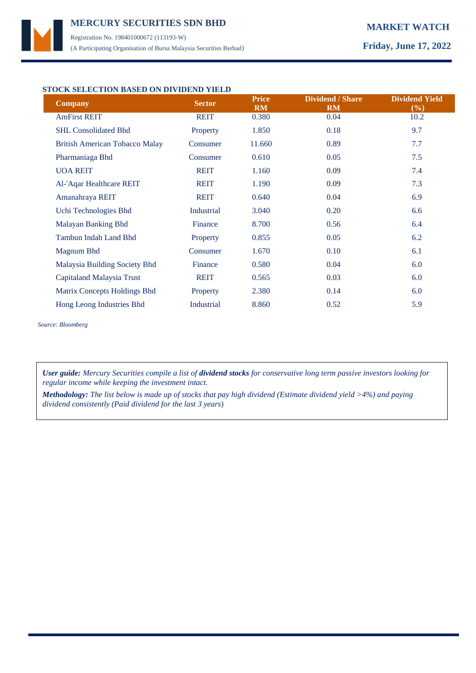# **MERCURY MARKET WATCH SECURITIES SDN BHD**  Registration No. 198401000672 (113193-W)

(A Participating Organisation of Bursa Malaysia Securities Berhad) **Friday, June 17, 2022**

## **STOCK SELECTION BASED ON DIVIDEND YIELD**

| <b>Company</b>                        | <b>Sector</b>     | <b>Price</b><br><b>RM</b> | <b>Dividend / Share</b><br><b>RM</b> | <b>Dividend Yield</b><br>(%) |
|---------------------------------------|-------------------|---------------------------|--------------------------------------|------------------------------|
| <b>AmFirst REIT</b>                   | <b>REIT</b>       | 0.380                     | 0.04                                 | 10.2                         |
| <b>SHL Consolidated Bhd</b>           | Property          | 1.850                     | 0.18                                 | 9.7                          |
| <b>British American Tobacco Malay</b> | Consumer          | 11.660                    | 0.89                                 | 7.7                          |
| Pharmaniaga Bhd                       | Consumer          | 0.610                     | 0.05                                 | 7.5                          |
| <b>UOA REIT</b>                       | <b>REIT</b>       | 1.160                     | 0.09                                 | 7.4                          |
| Al-'Aqar Healthcare REIT              | <b>REIT</b>       | 1.190                     | 0.09                                 | 7.3                          |
| Amanahraya REIT                       | <b>REIT</b>       | 0.640                     | 0.04                                 | 6.9                          |
| Uchi Technologies Bhd                 | Industrial        | 3.040                     | 0.20                                 | 6.6                          |
| Malayan Banking Bhd                   | Finance           | 8.700                     | 0.56                                 | 6.4                          |
| Tambun Indah Land Bhd                 | Property          | 0.855                     | 0.05                                 | 6.2                          |
| Magnum Bhd                            | Consumer          | 1.670                     | 0.10                                 | 6.1                          |
| Malaysia Building Society Bhd         | Finance           | 0.580                     | 0.04                                 | 6.0                          |
| Capitaland Malaysia Trust             | <b>REIT</b>       | 0.565                     | 0.03                                 | 6.0                          |
| Matrix Concepts Holdings Bhd          | Property          | 2.380                     | 0.14                                 | 6.0                          |
| Hong Leong Industries Bhd             | <b>Industrial</b> | 8.860                     | 0.52                                 | 5.9                          |

*Source: Bloomberg*

*User guide: Mercury Securities compile a list of dividend stocks for conservative long term passive investors looking for regular income while keeping the investment intact.*

*Methodology: The list below is made up of stocks that pay high dividend (Estimate dividend yield >4%) and paying dividend consistently (Paid dividend for the last 3 years*)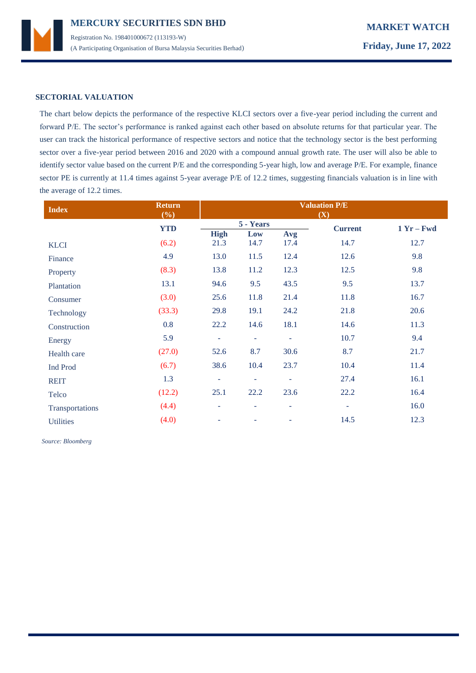

### **SECTORIAL VALUATION**

The chart below depicts the performance of the respective KLCI sectors over a five-year period including the current and forward P/E. The sector's performance is ranked against each other based on absolute returns for that particular year. The user can track the historical performance of respective sectors and notice that the technology sector is the best performing sector over a five-year period between 2016 and 2020 with a compound annual growth rate. The user will also be able to identify sector value based on the current P/E and the corresponding 5-year high, low and average P/E. For example, finance sector PE is currently at 11.4 times against 5-year average P/E of 12.2 times, suggesting financials valuation is in line with the average of 12.2 times.

| <b>Index</b>     | <b>Return</b><br>(%) | <b>Valuation P/E</b><br>(X) |                          |                          |                |              |
|------------------|----------------------|-----------------------------|--------------------------|--------------------------|----------------|--------------|
|                  | <b>YTD</b>           |                             | 5 - Years                |                          | <b>Current</b> | $1 Yr - Fwd$ |
|                  |                      | <b>High</b>                 | Low                      | Avg                      |                |              |
| <b>KLCI</b>      | (6.2)                | 21.3                        | 14.7                     | 17.4                     | 14.7           | 12.7         |
| Finance          | 4.9                  | 13.0                        | 11.5                     | 12.4                     | 12.6           | 9.8          |
| Property         | (8.3)                | 13.8                        | 11.2                     | 12.3                     | 12.5           | 9.8          |
| Plantation       | 13.1                 | 94.6                        | 9.5                      | 43.5                     | 9.5            | 13.7         |
| Consumer         | (3.0)                | 25.6                        | 11.8                     | 21.4                     | 11.8           | 16.7         |
| Technology       | (33.3)               | 29.8                        | 19.1                     | 24.2                     | 21.8           | 20.6         |
| Construction     | 0.8                  | 22.2                        | 14.6                     | 18.1                     | 14.6           | 11.3         |
| Energy           | 5.9                  | $\overline{\phantom{a}}$    | $\overline{\phantom{a}}$ | $\overline{\phantom{a}}$ | 10.7           | 9.4          |
| Health care      | (27.0)               | 52.6                        | 8.7                      | 30.6                     | 8.7            | 21.7         |
| Ind Prod         | (6.7)                | 38.6                        | 10.4                     | 23.7                     | 10.4           | 11.4         |
| <b>REIT</b>      | 1.3                  | ٠                           | ٠                        | ٠                        | 27.4           | 16.1         |
| Telco            | (12.2)               | 25.1                        | 22.2                     | 23.6                     | 22.2           | 16.4         |
| Transportations  | (4.4)                | ÷                           | ٠                        | $\overline{\phantom{a}}$ | $\blacksquare$ | 16.0         |
| <b>Utilities</b> | (4.0)                | ۰                           |                          | ۰                        | 14.5           | 12.3         |

 *Source: Bloomberg*